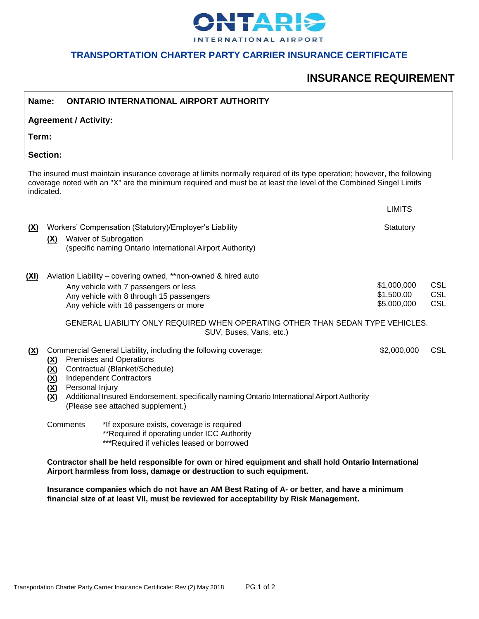

### **TRANSPORTATION CHARTER PARTY CARRIER INSURANCE CERTIFICATE**

# **INSURANCE REQUIREMENT**

| Name:                                                                                                                                                                                                                                                    |                                                              | <b>ONTARIO INTERNATIONAL AIRPORT AUTHORITY</b>                                                                                                                                                                                                                                                                               |                                          |                                        |  |
|----------------------------------------------------------------------------------------------------------------------------------------------------------------------------------------------------------------------------------------------------------|--------------------------------------------------------------|------------------------------------------------------------------------------------------------------------------------------------------------------------------------------------------------------------------------------------------------------------------------------------------------------------------------------|------------------------------------------|----------------------------------------|--|
| <b>Agreement / Activity:</b>                                                                                                                                                                                                                             |                                                              |                                                                                                                                                                                                                                                                                                                              |                                          |                                        |  |
| Term:                                                                                                                                                                                                                                                    |                                                              |                                                                                                                                                                                                                                                                                                                              |                                          |                                        |  |
| <b>Section:</b>                                                                                                                                                                                                                                          |                                                              |                                                                                                                                                                                                                                                                                                                              |                                          |                                        |  |
| The insured must maintain insurance coverage at limits normally required of its type operation; however, the following<br>coverage noted with an "X" are the minimum required and must be at least the level of the Combined Singel Limits<br>indicated. |                                                              |                                                                                                                                                                                                                                                                                                                              |                                          |                                        |  |
|                                                                                                                                                                                                                                                          |                                                              |                                                                                                                                                                                                                                                                                                                              | <b>LIMITS</b>                            |                                        |  |
| <u>(X)</u>                                                                                                                                                                                                                                               | <u>(X)</u>                                                   | Workers' Compensation (Statutory)/Employer's Liability<br>Waiver of Subrogation<br>(specific naming Ontario International Airport Authority)                                                                                                                                                                                 | Statutory                                |                                        |  |
| (XI)                                                                                                                                                                                                                                                     |                                                              | Aviation Liability - covering owned, **non-owned & hired auto<br>Any vehicle with 7 passengers or less<br>Any vehicle with 8 through 15 passengers<br>Any vehicle with 16 passengers or more                                                                                                                                 | \$1,000,000<br>\$1,500.00<br>\$5,000,000 | <b>CSL</b><br><b>CSL</b><br><b>CSL</b> |  |
|                                                                                                                                                                                                                                                          |                                                              | GENERAL LIABILITY ONLY REQUIRED WHEN OPERATING OTHER THAN SEDAN TYPE VEHICLES.<br>SUV, Buses, Vans, etc.)                                                                                                                                                                                                                    |                                          |                                        |  |
| ( <u>X</u> )                                                                                                                                                                                                                                             | <u>(X)</u><br>(X)<br>$(\underline{X})$<br>( <u>X)</u><br>(X) | Commercial General Liability, including the following coverage:<br><b>Premises and Operations</b><br>Contractual (Blanket/Schedule)<br><b>Independent Contractors</b><br>Personal Injury<br>Additional Insured Endorsement, specifically naming Ontario International Airport Authority<br>(Please see attached supplement.) | \$2,000,000                              | <b>CSL</b>                             |  |
|                                                                                                                                                                                                                                                          |                                                              | Comments<br>*If exposure exists, coverage is required<br>**Required if operating under ICC Authority<br>***Required if vehicles leased or borrowed                                                                                                                                                                           |                                          |                                        |  |
|                                                                                                                                                                                                                                                          |                                                              | Contractor shall be held responsible for own or hired equipment and shall hold Ontario International<br>Airport harmless from loss, damage or destruction to such equipment.                                                                                                                                                 |                                          |                                        |  |

**Insurance companies which do not have an AM Best Rating of A- or better, and have a minimum financial size of at least VII, must be reviewed for acceptability by Risk Management.**